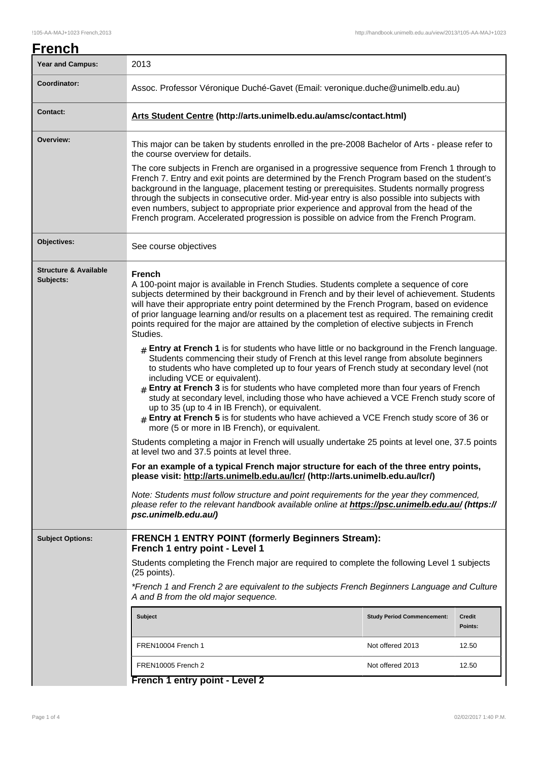| <b>Year and Campus:</b>                       | 2013                                                                                                                                                                                                                                                                                                                                                                                                                                                                                                                                                                                                                                                                                                                                                                                                                                                                                                                                                                                                                                                                                                                                                                                                                                                                                                                                                                                                                                                                                                                                                                            |                                                                                |                   |  |
|-----------------------------------------------|---------------------------------------------------------------------------------------------------------------------------------------------------------------------------------------------------------------------------------------------------------------------------------------------------------------------------------------------------------------------------------------------------------------------------------------------------------------------------------------------------------------------------------------------------------------------------------------------------------------------------------------------------------------------------------------------------------------------------------------------------------------------------------------------------------------------------------------------------------------------------------------------------------------------------------------------------------------------------------------------------------------------------------------------------------------------------------------------------------------------------------------------------------------------------------------------------------------------------------------------------------------------------------------------------------------------------------------------------------------------------------------------------------------------------------------------------------------------------------------------------------------------------------------------------------------------------------|--------------------------------------------------------------------------------|-------------------|--|
| Coordinator:                                  |                                                                                                                                                                                                                                                                                                                                                                                                                                                                                                                                                                                                                                                                                                                                                                                                                                                                                                                                                                                                                                                                                                                                                                                                                                                                                                                                                                                                                                                                                                                                                                                 | Assoc. Professor Véronique Duché-Gavet (Email: veronique.duche@unimelb.edu.au) |                   |  |
| <b>Contact:</b>                               |                                                                                                                                                                                                                                                                                                                                                                                                                                                                                                                                                                                                                                                                                                                                                                                                                                                                                                                                                                                                                                                                                                                                                                                                                                                                                                                                                                                                                                                                                                                                                                                 | Arts Student Centre (http://arts.unimelb.edu.au/amsc/contact.html)             |                   |  |
| Overview:                                     | This major can be taken by students enrolled in the pre-2008 Bachelor of Arts - please refer to<br>the course overview for details.                                                                                                                                                                                                                                                                                                                                                                                                                                                                                                                                                                                                                                                                                                                                                                                                                                                                                                                                                                                                                                                                                                                                                                                                                                                                                                                                                                                                                                             |                                                                                |                   |  |
|                                               | The core subjects in French are organised in a progressive sequence from French 1 through to<br>French 7. Entry and exit points are determined by the French Program based on the student's<br>background in the language, placement testing or prerequisites. Students normally progress<br>through the subjects in consecutive order. Mid-year entry is also possible into subjects with<br>even numbers, subject to appropriate prior experience and approval from the head of the<br>French program. Accelerated progression is possible on advice from the French Program.                                                                                                                                                                                                                                                                                                                                                                                                                                                                                                                                                                                                                                                                                                                                                                                                                                                                                                                                                                                                 |                                                                                |                   |  |
| Objectives:                                   | See course objectives                                                                                                                                                                                                                                                                                                                                                                                                                                                                                                                                                                                                                                                                                                                                                                                                                                                                                                                                                                                                                                                                                                                                                                                                                                                                                                                                                                                                                                                                                                                                                           |                                                                                |                   |  |
| <b>Structure &amp; Available</b><br>Subjects: | <b>French</b><br>A 100-point major is available in French Studies. Students complete a sequence of core<br>subjects determined by their background in French and by their level of achievement. Students<br>will have their appropriate entry point determined by the French Program, based on evidence<br>of prior language learning and/or results on a placement test as required. The remaining credit<br>points required for the major are attained by the completion of elective subjects in French<br>Studies.<br>$#$ Entry at French 1 is for students who have little or no background in the French language.<br>Students commencing their study of French at this level range from absolute beginners<br>to students who have completed up to four years of French study at secondary level (not<br>including VCE or equivalent).<br>$4$ Entry at French 3 is for students who have completed more than four years of French<br>study at secondary level, including those who have achieved a VCE French study score of<br>up to 35 (up to 4 in IB French), or equivalent.<br>$_{\text{\#}}$ Entry at French 5 is for students who have achieved a VCE French study score of 36 or<br>more (5 or more in IB French), or equivalent.<br>Students completing a major in French will usually undertake 25 points at level one, 37.5 points<br>at level two and 37.5 points at level three.<br>For an example of a typical French major structure for each of the three entry points,<br>please visit: http://arts.unimelb.edu.au/lcr/ (http://arts.unimelb.edu.au/lcr/) |                                                                                |                   |  |
|                                               |                                                                                                                                                                                                                                                                                                                                                                                                                                                                                                                                                                                                                                                                                                                                                                                                                                                                                                                                                                                                                                                                                                                                                                                                                                                                                                                                                                                                                                                                                                                                                                                 |                                                                                |                   |  |
|                                               |                                                                                                                                                                                                                                                                                                                                                                                                                                                                                                                                                                                                                                                                                                                                                                                                                                                                                                                                                                                                                                                                                                                                                                                                                                                                                                                                                                                                                                                                                                                                                                                 |                                                                                |                   |  |
|                                               |                                                                                                                                                                                                                                                                                                                                                                                                                                                                                                                                                                                                                                                                                                                                                                                                                                                                                                                                                                                                                                                                                                                                                                                                                                                                                                                                                                                                                                                                                                                                                                                 |                                                                                |                   |  |
|                                               | Note: Students must follow structure and point requirements for the year they commenced,<br>please refer to the relevant handbook available online at https://psc.unimelb.edu.au/ (https://<br>psc.unimelb.edu.au/)                                                                                                                                                                                                                                                                                                                                                                                                                                                                                                                                                                                                                                                                                                                                                                                                                                                                                                                                                                                                                                                                                                                                                                                                                                                                                                                                                             |                                                                                |                   |  |
| <b>Subject Options:</b>                       | <b>FRENCH 1 ENTRY POINT (formerly Beginners Stream):</b><br>French 1 entry point - Level 1                                                                                                                                                                                                                                                                                                                                                                                                                                                                                                                                                                                                                                                                                                                                                                                                                                                                                                                                                                                                                                                                                                                                                                                                                                                                                                                                                                                                                                                                                      |                                                                                |                   |  |
|                                               | Students completing the French major are required to complete the following Level 1 subjects<br>(25 points).<br>*French 1 and French 2 are equivalent to the subjects French Beginners Language and Culture<br>A and B from the old major sequence.                                                                                                                                                                                                                                                                                                                                                                                                                                                                                                                                                                                                                                                                                                                                                                                                                                                                                                                                                                                                                                                                                                                                                                                                                                                                                                                             |                                                                                |                   |  |
|                                               |                                                                                                                                                                                                                                                                                                                                                                                                                                                                                                                                                                                                                                                                                                                                                                                                                                                                                                                                                                                                                                                                                                                                                                                                                                                                                                                                                                                                                                                                                                                                                                                 |                                                                                |                   |  |
|                                               | <b>Subject</b>                                                                                                                                                                                                                                                                                                                                                                                                                                                                                                                                                                                                                                                                                                                                                                                                                                                                                                                                                                                                                                                                                                                                                                                                                                                                                                                                                                                                                                                                                                                                                                  | <b>Study Period Commencement:</b>                                              | Credit<br>Points: |  |
|                                               | FREN10004 French 1<br>Not offered 2013                                                                                                                                                                                                                                                                                                                                                                                                                                                                                                                                                                                                                                                                                                                                                                                                                                                                                                                                                                                                                                                                                                                                                                                                                                                                                                                                                                                                                                                                                                                                          |                                                                                | 12.50             |  |
|                                               | FREN10005 French 2<br>Not offered 2013                                                                                                                                                                                                                                                                                                                                                                                                                                                                                                                                                                                                                                                                                                                                                                                                                                                                                                                                                                                                                                                                                                                                                                                                                                                                                                                                                                                                                                                                                                                                          |                                                                                | 12.50             |  |
|                                               | French 1 entry point - Level 2                                                                                                                                                                                                                                                                                                                                                                                                                                                                                                                                                                                                                                                                                                                                                                                                                                                                                                                                                                                                                                                                                                                                                                                                                                                                                                                                                                                                                                                                                                                                                  |                                                                                |                   |  |

**French 1 entry point - Level 2**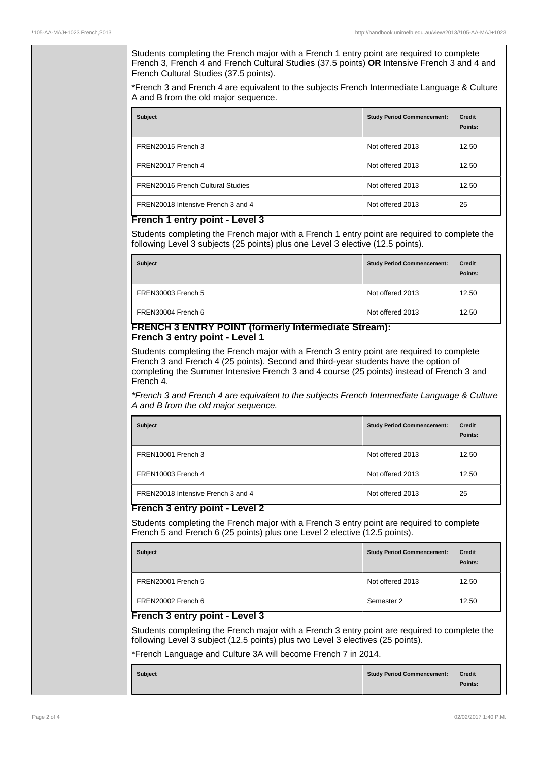Students completing the French major with a French 1 entry point are required to complete French 3, French 4 and French Cultural Studies (37.5 points) **OR** Intensive French 3 and 4 and French Cultural Studies (37.5 points).

\*French 3 and French 4 are equivalent to the subjects French Intermediate Language & Culture A and B from the old major sequence.

| <b>Subject</b>                           | <b>Study Period Commencement:</b> | <b>Credit</b><br>Points: |
|------------------------------------------|-----------------------------------|--------------------------|
| FREN20015 French 3                       | Not offered 2013                  | 12.50                    |
| FREN20017 French 4                       | Not offered 2013                  | 12.50                    |
| <b>FREN20016 French Cultural Studies</b> | Not offered 2013                  | 12.50                    |
| FREN20018 Intensive French 3 and 4       | Not offered 2013                  | 25                       |

## **French 1 entry point - Level 3**

Students completing the French major with a French 1 entry point are required to complete the following Level 3 subjects (25 points) plus one Level 3 elective (12.5 points).

| <b>Subject</b>     | <b>Study Period Commencement:</b> | <b>Credit</b><br>Points: |
|--------------------|-----------------------------------|--------------------------|
| FREN30003 French 5 | Not offered 2013                  | 12.50                    |
| FREN30004 French 6 | Not offered 2013                  | 12.50                    |

## **FRENCH 3 ENTRY POINT (formerly Intermediate Stream): French 3 entry point - Level 1**

Students completing the French major with a French 3 entry point are required to complete French 3 and French 4 (25 points). Second and third-year students have the option of completing the Summer Intensive French 3 and 4 course (25 points) instead of French 3 and French 4.

\*French 3 and French 4 are equivalent to the subjects French Intermediate Language & Culture A and B from the old major sequence.

| <b>Subject</b>                     | <b>Study Period Commencement:</b> | <b>Credit</b><br>Points: |
|------------------------------------|-----------------------------------|--------------------------|
| FREN10001 French 3                 | Not offered 2013                  | 12.50                    |
| FREN10003 French 4                 | Not offered 2013                  | 12.50                    |
| FREN20018 Intensive French 3 and 4 | Not offered 2013                  | 25                       |

## **French 3 entry point - Level 2**

Students completing the French major with a French 3 entry point are required to complete French 5 and French 6 (25 points) plus one Level 2 elective (12.5 points).

| <b>Subject</b>     | <b>Study Period Commencement:</b> | <b>Credit</b><br>Points: |
|--------------------|-----------------------------------|--------------------------|
| FREN20001 French 5 | Not offered 2013                  | 12.50                    |
| FREN20002 French 6 | Semester 2                        | 12.50                    |

## **French 3 entry point - Level 3**

Students completing the French major with a French 3 entry point are required to complete the following Level 3 subject (12.5 points) plus two Level 3 electives (25 points).

\*French Language and Culture 3A will become French 7 in 2014.

| <b>Subject</b> | <b>Study Period Commencement:</b> | <b>Credit</b> |
|----------------|-----------------------------------|---------------|
|                |                                   | Points:       |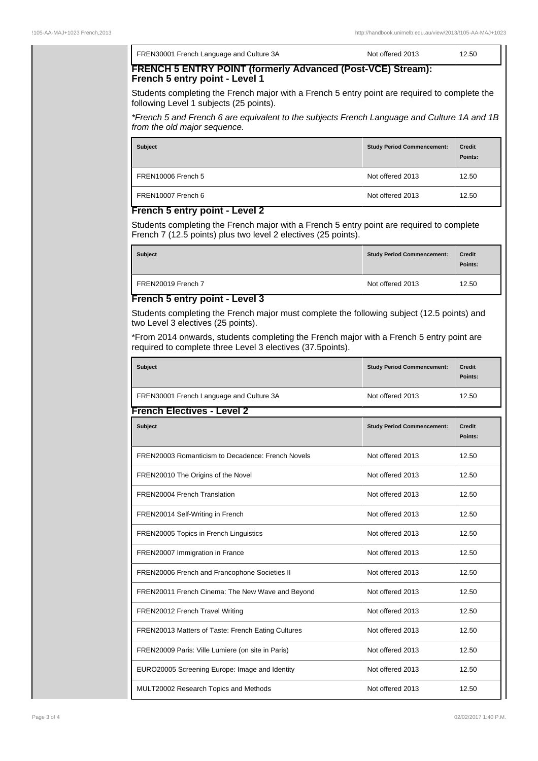| FREN30001 French Language and Culture 3A                                                                                                                    | Not offered 2013                  | 12.50                    |
|-------------------------------------------------------------------------------------------------------------------------------------------------------------|-----------------------------------|--------------------------|
| FRENCH 5 ENTRY POINT (formerly Advanced (Post-VCE) Stream):<br>French 5 entry point - Level 1                                                               |                                   |                          |
| Students completing the French major with a French 5 entry point are required to complete the<br>following Level 1 subjects (25 points).                    |                                   |                          |
| *French 5 and French 6 are equivalent to the subjects French Language and Culture 1A and 1B<br>from the old major sequence.                                 |                                   |                          |
| <b>Subject</b>                                                                                                                                              | <b>Study Period Commencement:</b> | <b>Credit</b><br>Points: |
| FREN10006 French 5                                                                                                                                          | Not offered 2013                  | 12.50                    |
| FREN10007 French 6                                                                                                                                          | Not offered 2013                  | 12.50                    |
| French 5 entry point - Level 2                                                                                                                              |                                   |                          |
| Students completing the French major with a French 5 entry point are required to complete<br>French 7 (12.5 points) plus two level 2 electives (25 points). |                                   |                          |
| <b>Subject</b>                                                                                                                                              | <b>Study Period Commencement:</b> | <b>Credit</b><br>Points: |
| FREN20019 French 7                                                                                                                                          | Not offered 2013                  | 12.50                    |
| French 5 entry point - Level 3                                                                                                                              |                                   |                          |
| Students completing the French major must complete the following subject (12.5 points) and<br>two Level 3 electives (25 points).                            |                                   |                          |
| *From 2014 onwards, students completing the French major with a French 5 entry point are<br>required to complete three Level 3 electives (37.5points).      |                                   |                          |
|                                                                                                                                                             |                                   |                          |

| Subject                                            | <b>Study Period Commencement:</b> | <b>Credit</b><br>Points: |
|----------------------------------------------------|-----------------------------------|--------------------------|
| FREN30001 French Language and Culture 3A           | Not offered 2013                  | 12.50                    |
| <b>French Electives - Level 2</b>                  |                                   |                          |
| <b>Subject</b>                                     | <b>Study Period Commencement:</b> | <b>Credit</b><br>Points: |
| FREN20003 Romanticism to Decadence: French Novels  | Not offered 2013                  | 12.50                    |
| FREN20010 The Origins of the Novel                 | Not offered 2013                  | 12.50                    |
| FREN20004 French Translation                       | Not offered 2013                  | 12.50                    |
| FREN20014 Self-Writing in French                   | Not offered 2013                  | 12.50                    |
| FREN20005 Topics in French Linguistics             | Not offered 2013                  | 12.50                    |
| FREN20007 Immigration in France                    | Not offered 2013                  | 12.50                    |
| FREN20006 French and Francophone Societies II      | Not offered 2013                  | 12.50                    |
| FREN20011 French Cinema: The New Wave and Beyond   | Not offered 2013                  | 12.50                    |
| FREN20012 French Travel Writing                    | Not offered 2013                  | 12.50                    |
| FREN20013 Matters of Taste: French Eating Cultures | Not offered 2013                  | 12.50                    |
| FREN20009 Paris: Ville Lumiere (on site in Paris)  | Not offered 2013                  | 12.50                    |
| EURO20005 Screening Europe: Image and Identity     | Not offered 2013                  | 12.50                    |
| MULT20002 Research Topics and Methods              | Not offered 2013                  | 12.50                    |